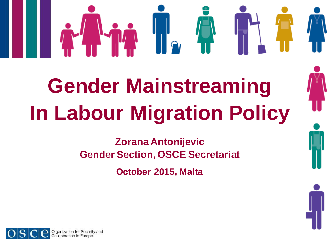# **Gender Mainstreaming In Labour Migration Policy**

**Zorana Antonijevic Gender Section, OSCE Secretariat**

**October 2015, Malta**

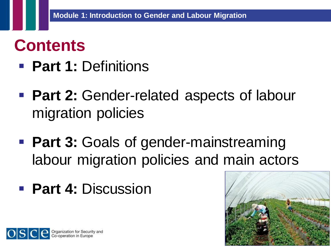#### **Contents**

- **Part 1: Definitions**
- **Part 2: Gender-related aspects of labour** migration policies
- **Part 3: Goals of gender-mainstreaming** labour migration policies and main actors
- **Part 4: Discussion**



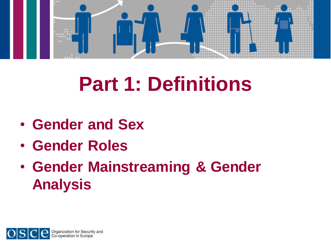

## **Part 1: Definitions**

- **Gender and Sex**
- **Gender Roles**
- **Gender Mainstreaming & Gender Analysis**

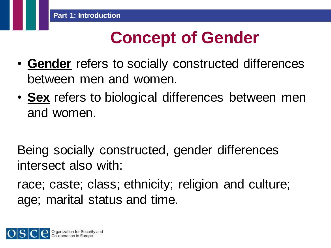#### **Concept of Gender**

- **Gender** refers to socially constructed differences between men and women.
- **Sex** refers to biological differences between men and women.

Being socially constructed, gender differences intersect also with:

race; caste; class; ethnicity; religion and culture; age; marital status and time.

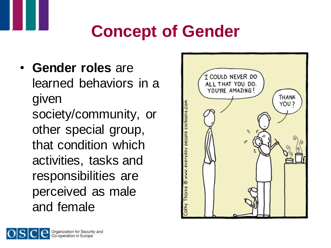### **Concept of Gender**

• **Gender roles** are learned behaviors in a given society/community, or other special group, that condition which activities, tasks and responsibilities are perceived as male and female



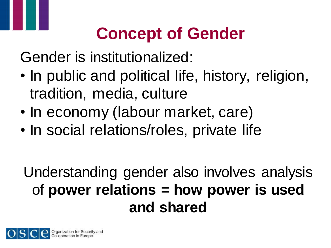## **Concept of Gender**

Gender is institutionalized:

- In public and political life, history, religion, tradition, media, culture
- In economy (labour market, care)
- In social relations/roles, private life

Understanding gender also involves analysis of **power relations = how power is used and shared**

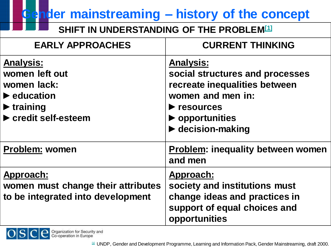**Gender mainstreaming – history of the concept**

**SHIFT IN UNDERSTANDING OF THE PROBLEM[1]**

| <b>EARLY APPROACHES</b>                                                                                                                                            | <b>CURRENT THINKING</b>                                                                                                                                                                                                      |
|--------------------------------------------------------------------------------------------------------------------------------------------------------------------|------------------------------------------------------------------------------------------------------------------------------------------------------------------------------------------------------------------------------|
| <b>Analysis:</b><br>women left out<br>women lack:<br>$\blacktriangleright$ education<br>$\blacktriangleright$ training<br>$\blacktriangleright$ credit self-esteem | <b>Analysis:</b><br>social structures and processes<br>recreate inequalities between<br>women and men in:<br>$\blacktriangleright$ resources<br>$\blacktriangleright$ opportunities<br>$\blacktriangleright$ decision-making |
| <b>Problem: women</b>                                                                                                                                              | <b>Problem: inequality between women</b><br>and men                                                                                                                                                                          |
| Approach:<br>women must change their attributes<br>to be integrated into development                                                                               | Approach:<br>society and institutions must<br>change ideas and practices in<br>support of equal choices and<br>opportunities                                                                                                 |

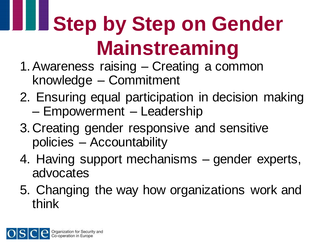# **Step by Step on Gender Mainstreaming**

- 1.Awareness raising Creating a common knowledge – Commitment
- 2. Ensuring equal participation in decision making – Empowerment – Leadership
- 3. Creating gender responsive and sensitive policies – Accountability
- 4. Having support mechanisms gender experts, advocates
- 5. Changing the way how organizations work and think

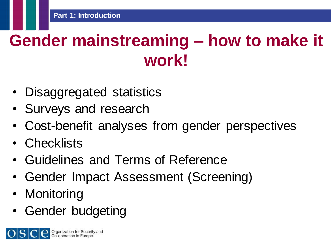### **Gender mainstreaming – how to make it work!**

- Disaggregated statistics
- Surveys and research
- Cost-benefit analyses from gender perspectives
- Checklists
- Guidelines and Terms of Reference
- Gender Impact Assessment (Screening)
- **Monitoring**
- Gender budgeting

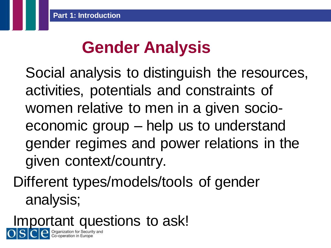#### **Gender Analysis**

Social analysis to distinguish the resources, activities, potentials and constraints of women relative to men in a given socioeconomic group – help us to understand gender regimes and power relations in the given context/country.

Different types/models/tools of gender analysis;

Important questions to ask!

Organization for Security<br>Co-operation in Europe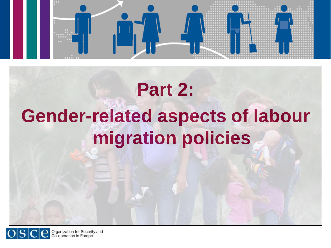

## **Part 2: Gender-related aspects of labour migration policies**



Organization for Security and<br>Co-operation in Europe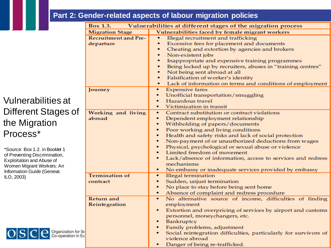#### **Module 1: Introduction to Gender and Labour Migration Part 2: Gender-related aspects of labour migration policies**

Vulnerabilities at Different Stages of the Migration Process\*

\*Source: Box 1.2. in Booklet 1 of Preventing Discrimination, Exploitation and Abuse of Women Migrant Workers: An Information Guide (Geneva: ILO, 2003)



|             | Box 1.3.<br>Vulnerabilities at different stages of the migration process |                                                                        |
|-------------|--------------------------------------------------------------------------|------------------------------------------------------------------------|
|             | <b>Migration Stage</b>                                                   | Vulnerabilities faced by female migrant workers                        |
|             | <b>Recruitment and Pre-</b>                                              | Illegal recruitment and trafficking<br>×.                              |
|             | departure                                                                | Excessive fees for placement and documents<br>٠.                       |
|             |                                                                          | Cheating and extortion by agencies and brokers<br>٠.                   |
|             |                                                                          | Non-existent jobs<br>٠.                                                |
|             |                                                                          | Inappropriate and expensive training programmes                        |
|             |                                                                          | Being locked up by recruiters, abuses in "training centres"<br>٠.      |
|             |                                                                          | Not being sent abroad at all<br>٠.                                     |
|             |                                                                          | Falsification of worker's identity                                     |
|             |                                                                          | Lack of information on terms and conditions of employment<br>٠.        |
|             | Journey                                                                  | <b>Expensive fares</b>                                                 |
|             |                                                                          | Unofficial transportation/smuggling<br>٠                               |
|             |                                                                          | Hazardous travel<br>٠                                                  |
|             |                                                                          | Victimization in transit<br>٠.                                         |
|             | Working and living                                                       | Contract substitution or contract violations<br>٠                      |
|             | abroad                                                                   | ٠.<br>Dependent employment relationship                                |
|             |                                                                          | Withholding of papers/documents<br>٠                                   |
|             |                                                                          | Poor working and living conditions<br>٠                                |
|             |                                                                          | Health and safety risks and lack of social protection<br>٠             |
|             |                                                                          | Non-payment of or unauthorized deductions from wages<br>п.             |
|             |                                                                          | Physical, psychological or sexual abuse or violence<br>٠               |
|             |                                                                          | Limited freedom of movement<br>٠.                                      |
|             |                                                                          | Lack/absence of information, access to services and redress<br>п.      |
|             |                                                                          | mechanisms                                                             |
|             | <b>Termination of</b>                                                    | No embassy or inadequate services provided by embassy<br>٠             |
|             |                                                                          | <b>Illegal</b> termination<br>٠                                        |
|             | contract                                                                 | Sudden, unjust termination<br>٠                                        |
|             |                                                                          | No place to stay before being sent home<br>٠<br>٠                      |
|             | <b>Return and</b>                                                        | Absence of complaint and redress procedure<br>٠                        |
|             |                                                                          | No alternative source of income, difficulties of finding<br>employment |
|             | Reintegration                                                            | ٠                                                                      |
|             |                                                                          | Extortion and overpricing of services by airport and customs           |
|             |                                                                          | personnel, moneychangers, etc.<br>Bankruptcy<br>٠.                     |
|             |                                                                          | Family problems, adjustment<br>$\blacksquare$                          |
| $S\epsilon$ |                                                                          | Social reintegration difficulties, particularly for survivors of<br>п. |
| Eu          |                                                                          | violence abroad                                                        |
|             |                                                                          | Danger of being re-trafficked.                                         |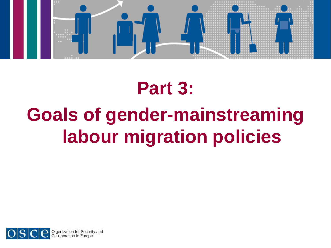

## **Part 3: Goals of gender-mainstreaming labour migration policies**



Organization for Security and<br>Co-operation in Europe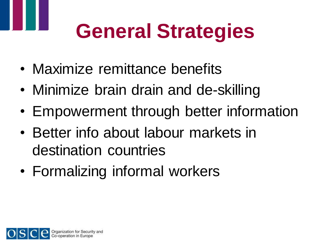# **General Strategies**

- Maximize remittance benefits
- Minimize brain drain and de-skilling
- Empowerment through better information
- Better info about labour markets in destination countries
- Formalizing informal workers